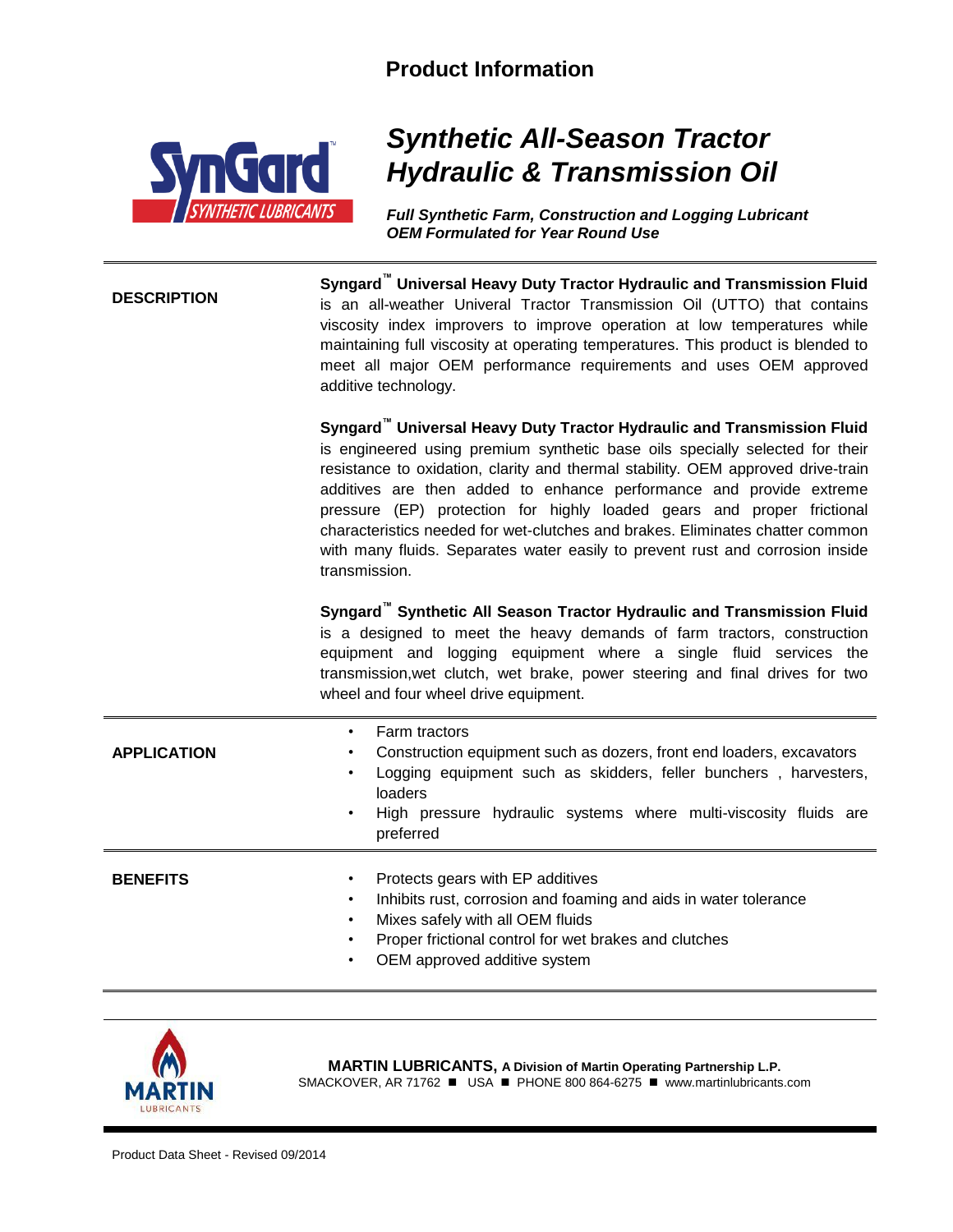## **Product Information**



## *Synthetic All-Season Tractor Hydraulic & Transmission Oil*

*Full Synthetic Farm, Construction and Logging Lubricant OEM Formulated for Year Round Use*

**DESCRIPTION Syngard™ Universal Heavy Duty Tractor Hydraulic and Transmission Fluid**  is an all-weather Univeral Tractor Transmission Oil (UTTO) that contains viscosity index improvers to improve operation at low temperatures while maintaining full viscosity at operating temperatures. This product is blended to meet all major OEM performance requirements and uses OEM approved additive technology.

> **Syngard™ Universal Heavy Duty Tractor Hydraulic and Transmission Fluid** is engineered using premium synthetic base oils specially selected for their resistance to oxidation, clarity and thermal stability. OEM approved drive-train additives are then added to enhance performance and provide extreme pressure (EP) protection for highly loaded gears and proper frictional characteristics needed for wet-clutches and brakes. Eliminates chatter common with many fluids. Separates water easily to prevent rust and corrosion inside transmission.

> **Syngard<sup>™</sup> Synthetic All Season Tractor Hydraulic and Transmission Fluid** is a designed to meet the heavy demands of farm tractors, construction equipment and logging equipment where a single fluid services the transmission,wet clutch, wet brake, power steering and final drives for two wheel and four wheel drive equipment.

| <b>APPLICATION</b>                                       | Farm tractors<br>٠<br>Construction equipment such as dozers, front end loaders, excavators<br>٠<br>Logging equipment such as skidders, feller bunchers, harvesters,<br>٠<br>loaders<br>High pressure hydraulic systems where multi-viscosity fluids are<br>$\bullet$<br>preferred |  |
|----------------------------------------------------------|-----------------------------------------------------------------------------------------------------------------------------------------------------------------------------------------------------------------------------------------------------------------------------------|--|
| <b>BENEFITS</b><br>٠<br>$\bullet$<br>٠<br>٠<br>$\bullet$ | Protects gears with EP additives<br>Inhibits rust, corrosion and foaming and aids in water tolerance<br>Mixes safely with all OEM fluids<br>Proper frictional control for wet brakes and clutches<br>OEM approved additive system                                                 |  |



**MARTIN LUBRICANTS, A Division of Martin Operating Partnership L.P.** SMACKOVER, AR 71762 ■ USA ■ PHONE 800 864-6275 ■ www.martinlubricants.com